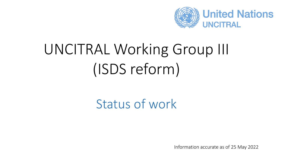

# UNCITRAL Working Group III (ISDS reform)

## Status of work

Information accurate as of 25 May 2022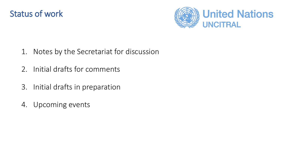



- 1. Notes by the Secretariat for discussion
- 2. Initial drafts for comments
- 3. Initial drafts in preparation
- 4. Upcoming events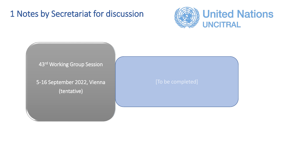#### 1 Notes by Secretariat for discussion





5-16 September 2022, Vienna (tentative)

[To be completed]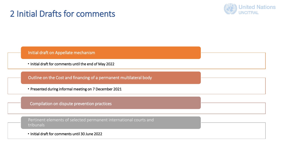#### 2 Initial Drafts for comments



Initial draft on Appellate mechanism

• Initial draft for comments until the end of May 2022

Outline on the Cost and financing of a permanent multilateral body

• Presented during informal meeting on 7 December 2021

Compilation on dispute prevention practices

Pertinent elements of selected permanent international courts and tribunals

• Initial draft for comments until 30 June 2022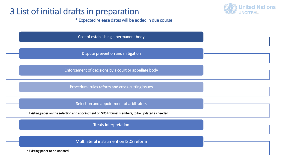#### 3 List of initial drafts in preparation



\* Expected release dates will be added in due course

| Cost of establishing a permanent body                                                               |
|-----------------------------------------------------------------------------------------------------|
| Dispute prevention and mitigation                                                                   |
| Enforcement of decisions by a court or appellate body                                               |
| Procedural rules reform and cross-cutting issues                                                    |
| Selection and appointment of arbitrators                                                            |
| • Existing paper on the selection and appointment of ISDS tribunal members, to be updated as needed |
| <b>Treaty interpretation</b>                                                                        |
| Multilateral instrument on ISDS reform                                                              |
| • Existing paper to be updated                                                                      |